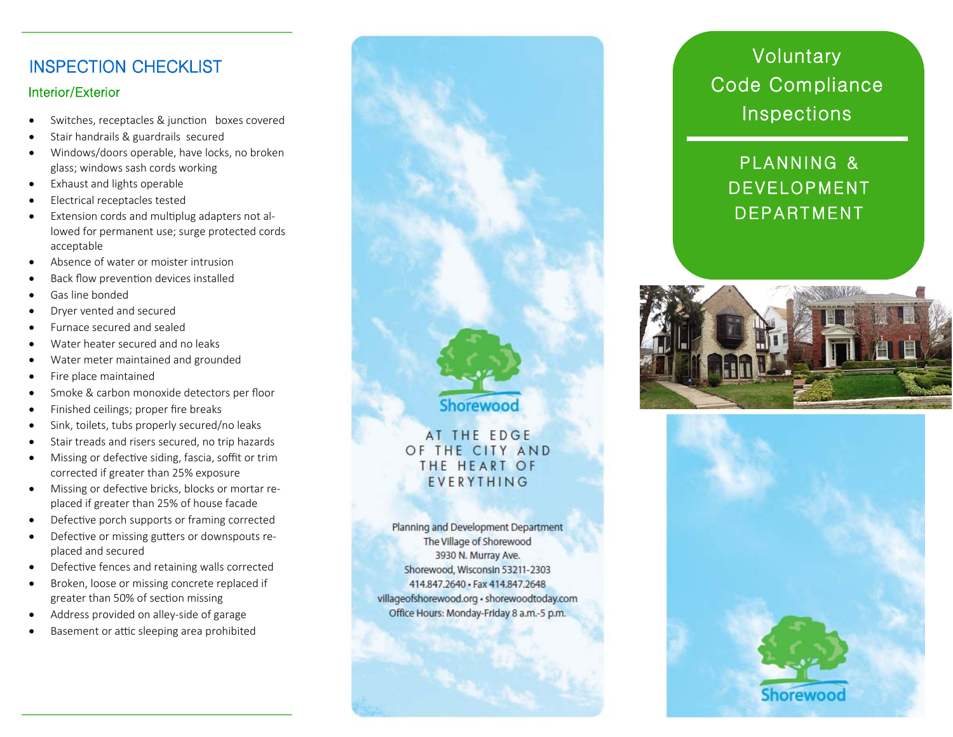# INSPECTION CHECKLIST

#### Interior/Exterior

- $\bullet$ Switches, receptacles & junction boxes covered
- $\bullet$ Stair handrails & guardrails secured
- $\bullet$  Windows/doors operable, have locks, no broken glass; windows sash cords working
- $\bullet$ Exhaust and lights operable
- . Electrical receptacles tested
- . Extension cords and multiplug adapters not allowed for permanent use; surge protected cords acceptable
- $\bullet$ Absence of water or moister intrusion
- $\bullet$ Back flow prevention devices installed
- $\bullet$ Gas line bonded
- $\bullet$ Dryer vented and secured
- $\bullet$ Furnace secured and sealed
- $\bullet$ Water heater secured and no leaks
- $\bullet$ Water meter maintained and grounded
- $\bullet$ Fire place maintained
- $\bullet$ Smoke & carbon monoxide detectors per floor
- $\bullet$ Finished ceilings; proper fire breaks
- $\bullet$ Sink, toilets, tubs properly secured/no leaks
- $\bullet$ Stair treads and risers secured, no trip hazards
- $\bullet$ Missing or defective siding, fascia, soffit or trim corrected if greater than 25% exposure
- $\bullet$ Missing or defective bricks, blocks or mortar replaced if greater than 25% of house facade
- $\bullet$ Defective porch supports or framing corrected
- $\bullet$ Defective or missing gutters or downspouts replaced and secured
- $\bullet$ Defective fences and retaining walls corrected
- $\bullet$  Broken, loose or missing concrete replaced if greater than 50% of section missing
- $\bullet$ Address provided on alley-side of garage
- $\bullet$ Basement or attic sleeping area prohibited



# **Voluntary** Code Compliance Inspections

# PLANNING & DEVELOPMENT DEPARTMENT